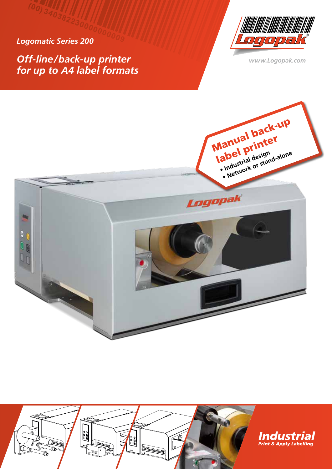*Logomatic Series 200*

*Off-line/back-up printer for up to A4 label formats*



*www.Logopak.com*